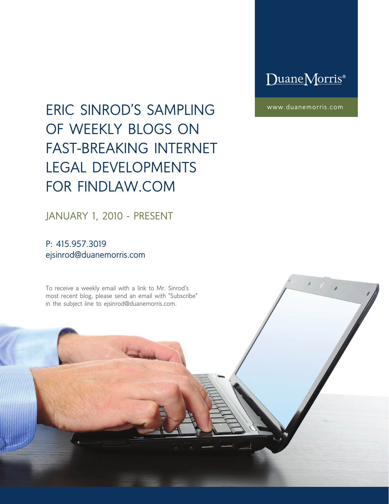### DuaneMorris®

www.duanemorris.com

# ERIC SINROD'S SAMPLING OF WEEKLY BLOGS ON FAST-BREAKING INTERNET LEGAL DEVELOPMENTS FOR FINDLAW.COM

JANUARY 1, 2010 - PRESENT

P: 415.957.3019 ejsinrod@duanemorris.com

To receive a weekly email with a link to Mr. Sinrod's most recent blog, please send an email with "Subscribe" in the subject line to ejsinrod@duanemorris.com.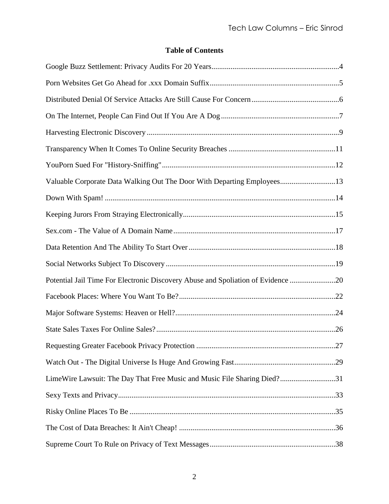#### **Table of Contents**

| Valuable Corporate Data Walking Out The Door With Departing Employees13          |  |
|----------------------------------------------------------------------------------|--|
|                                                                                  |  |
|                                                                                  |  |
|                                                                                  |  |
|                                                                                  |  |
|                                                                                  |  |
| Potential Jail Time For Electronic Discovery Abuse and Spoliation of Evidence 20 |  |
|                                                                                  |  |
|                                                                                  |  |
|                                                                                  |  |
|                                                                                  |  |
|                                                                                  |  |
| LimeWire Lawsuit: The Day That Free Music and Music File Sharing Died?31         |  |
|                                                                                  |  |
|                                                                                  |  |
|                                                                                  |  |
|                                                                                  |  |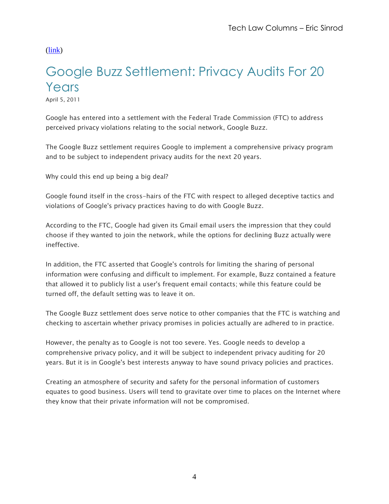# <span id="page-3-0"></span>Google Buzz Settlement: Privacy Audits For 20 Years

April 5, 2011

Google has entered into a settlement with the Federal Trade Commission (FTC) to address perceived privacy violations relating to the social network, Google Buzz.

The Google Buzz settlement requires Google to implement a comprehensive privacy program and to be subject to independent privacy audits for the next 20 years.

Why could this end up being a big deal?

Google found itself in the cross-hairs of the FTC with respect to alleged deceptive tactics and violations of Google's privacy practices having to do with Google Buzz.

According to the FTC, Google had given its Gmail email users the impression that they could choose if they wanted to join the network, while the options for declining Buzz actually were ineffective.

In addition, the FTC asserted that Google's controls for limiting the sharing of personal information were confusing and difficult to implement. For example, Buzz contained a feature that allowed it to publicly list a user's frequent email contacts; while this feature could be turned off, the default setting was to leave it on.

The Google Buzz settlement does serve notice to other companies that the FTC is watching and checking to ascertain whether privacy promises in policies actually are adhered to in practice.

However, the penalty as to Google is not too severe. Yes. Google needs to develop a comprehensive privacy policy, and it will be subject to independent privacy auditing for 20 years. But it is in Google's best interests anyway to have sound privacy policies and practices.

Creating an atmosphere of security and safety for the personal information of customers equates to good business. Users will tend to gravitate over time to places on the Internet where they know that their private information will not be compromised.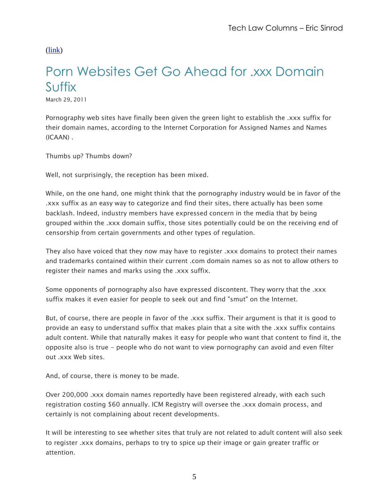### <span id="page-4-0"></span>Porn Websites Get Go Ahead for .xxx Domain Suffix

March 29, 2011

Pornography web sites have finally been given the green light to establish the .xxx suffix for their domain names, according to the Internet Corporation for Assigned Names and Names (ICAAN) .

Thumbs up? Thumbs down?

Well, not surprisingly, the reception has been mixed.

While, on the one hand, one might think that the pornography industry would be in favor of the .xxx suffix as an easy way to categorize and find their sites, there actually has been some backlash. Indeed, industry members have expressed concern in the media that by being grouped within the .xxx domain suffix, those sites potentially could be on the receiving end of censorship from certain governments and other types of regulation.

They also have voiced that they now may have to register .xxx domains to protect their names and trademarks contained within their current .com domain names so as not to allow others to register their names and marks using the .xxx suffix.

Some opponents of pornography also have expressed discontent. They worry that the .xxx suffix makes it even easier for people to seek out and find "smut" on the Internet.

But, of course, there are people in favor of the .xxx suffix. Their argument is that it is good to provide an easy to understand suffix that makes plain that a site with the .xxx suffix contains adult content. While that naturally makes it easy for people who want that content to find it, the opposite also is true - people who do not want to view pornography can avoid and even filter out .xxx Web sites.

And, of course, there is money to be made.

Over 200,000 .xxx domain names reportedly have been registered already, with each such registration costing \$60 annually. ICM Registry will oversee the .xxx domain process, and certainly is not complaining about recent developments.

It will be interesting to see whether sites that truly are not related to adult content will also seek to register .xxx domains, perhaps to try to spice up their image or gain greater traffic or attention.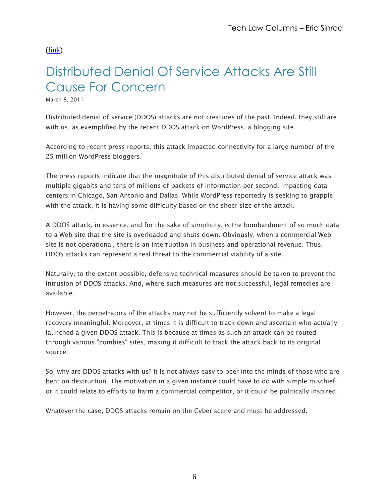# <span id="page-5-0"></span>Distributed Denial Of Service Attacks Are Still Cause For Concern

March 8, 2011

Distributed denial of service (DDOS) attacks are not creatures of the past. Indeed, they still are with us, as exemplified by the recent DDOS attack on WordPress, a blogging site.

According to recent press reports, this attack impacted connectivity for a large number of the 25 million WordPress bloggers.

The press reports indicate that the magnitude of this distributed denial of service attack was multiple gigabits and tens of millions of packets of information per second, impacting data centers in Chicago, San Antonio and Dallas. While WordPress reportedly is seeking to grapple with the attack, it is having some difficulty based on the sheer size of the attack.

A DDOS attack, in essence, and for the sake of simplicity, is the bombardment of so much data to a Web site that the site is overloaded and shuts down. Obviously, when a commercial Web site is not operational, there is an interruption in business and operational revenue. Thus, DDOS attacks can represent a real threat to the commercial viability of a site.

Naturally, to the extent possible, defensive technical measures should be taken to prevent the intrusion of DDOS attacks. And, where such measures are not successful, legal remedies are available.

However, the perpetrators of the attacks may not be sufficiently solvent to make a legal recovery meaningful. Moreover, at times it is difficult to track down and ascertain who actually launched a given DDOS attack. This is because at times as such an attack can be routed through various "zombies" sites, making it difficult to track the attack back to its original source.

So, why are DDOS attacks with us? It is not always easy to peer into the minds of those who are bent on destruction. The motivation in a given instance could have to do with simple mischief, or it could relate to efforts to harm a commercial competitor, or it could be politically inspired.

Whatever the case, DDOS attacks remain on the Cyber scene and must be addressed.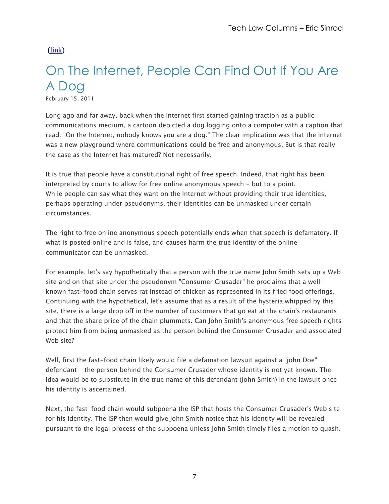# <span id="page-6-0"></span>On The Internet, People Can Find Out If You Are A Dog

February 15, 2011

Long ago and far away, back when the Internet first started gaining traction as a public communications medium, a cartoon depicted a dog logging onto a computer with a caption that read: "On the Internet, nobody knows you are a dog." The clear implication was that the Internet was a new playground where communications could be free and anonymous. But is that really the case as the Internet has matured? Not necessarily.

It is true that people have a constitutional right of free speech. Indeed, that right has been interpreted by courts to allow for free online anonymous speech - but to a point. While people can say what they want on the Internet without providing their true identities, perhaps operating under pseudonyms, their identities can be unmasked under certain circumstances.

The right to free online anonymous speech potentially ends when that speech is defamatory. If what is posted online and is false, and causes harm the true identity of the online communicator can be unmasked.

For example, let's say hypothetically that a person with the true name John Smith sets up a Web site and on that site under the pseudonym "Consumer Crusader" he proclaims that a wellknown fast-food chain serves rat instead of chicken as represented in its fried food offerings. Continuing with the hypothetical, let's assume that as a result of the hysteria whipped by this site, there is a large drop off in the number of customers that go eat at the chain's restaurants and that the share price of the chain plummets. Can John Smith's anonymous free speech rights protect him from being unmasked as the person behind the Consumer Crusader and associated Web site?

Well, first the fast-food chain likely would file a defamation lawsuit against a "john Doe" defendant - the person behind the Consumer Crusader whose identity is not yet known. The idea would be to substitute in the true name of this defendant (John Smith) in the lawsuit once his identity is ascertained.

Next, the fast-food chain would subpoena the ISP that hosts the Consumer Crusader's Web site for his identity. The ISP then would give John Smith notice that his identity will be revealed pursuant to the legal process of the subpoena unless John Smith timely files a motion to quash.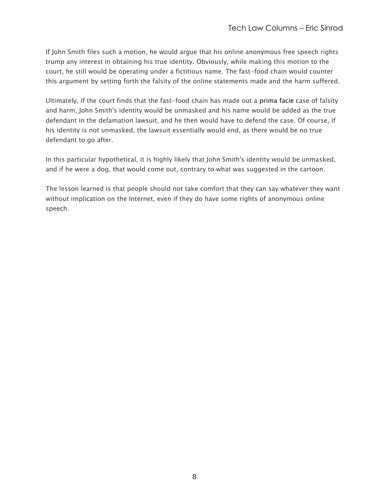If John Smith files such a motion, he would argue that his online anonymous free speech rights trump any interest in obtaining his true identity. Obviously, while making this motion to the court, he still would be operating under a fictitious name. The fast-food chain would counter this argument by setting forth the falsity of the online statements made and the harm suffered.

Ultimately, if the court finds that the fast-food chain has made out a prima facie case of falsity and harm, John Smith's identity would be unmasked and his name would be added as the true defendant in the defamation lawsuit, and he then would have to defend the case. Of course, if his identity is not unmasked, the lawsuit essentially would end, as there would be no true defendant to go after.

In this particular hypothetical, it is highly likely that John Smith's identity would be unmasked, and if he were a dog, that would come out, contrary to what was suggested in the cartoon.

The lesson learned is that people should not take comfort that they can say whatever they want without implication on the Internet, even if they do have some rights of anonymous online speech.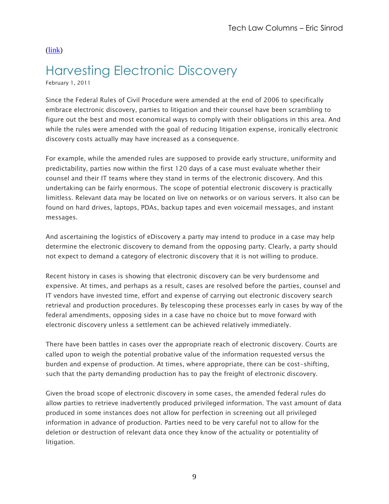## <span id="page-8-0"></span>Harvesting Electronic Discovery

February 1, 2011

Since the Federal Rules of Civil Procedure were amended at the end of 2006 to specifically embrace electronic discovery, parties to litigation and their counsel have been scrambling to figure out the best and most economical ways to comply with their obligations in this area. And while the rules were amended with the goal of reducing litigation expense, ironically electronic discovery costs actually may have increased as a consequence.

For example, while the amended rules are supposed to provide early structure, uniformity and predictability, parties now within the first 120 days of a case must evaluate whether their counsel and their IT teams where they stand in terms of the electronic discovery. And this undertaking can be fairly enormous. The scope of potential electronic discovery is practically limitless. Relevant data may be located on live on networks or on various servers. It also can be found on hard drives, laptops, PDAs, backup tapes and even voicemail messages, and instant messages.

And ascertaining the logistics of eDiscovery a party may intend to produce in a case may help determine the electronic discovery to demand from the opposing party. Clearly, a party should not expect to demand a category of electronic discovery that it is not willing to produce.

Recent history in cases is showing that electronic discovery can be very burdensome and expensive. At times, and perhaps as a result, cases are resolved before the parties, counsel and IT vendors have invested time, effort and expense of carrying out electronic discovery search retrieval and production procedures. By telescoping these processes early in cases by way of the federal amendments, opposing sides in a case have no choice but to move forward with electronic discovery unless a settlement can be achieved relatively immediately.

There have been battles in cases over the appropriate reach of electronic discovery. Courts are called upon to weigh the potential probative value of the information requested versus the burden and expense of production. At times, where appropriate, there can be cost-shifting, such that the party demanding production has to pay the freight of electronic discovery.

Given the broad scope of electronic discovery in some cases, the amended federal rules do allow parties to retrieve inadvertently produced privileged information. The vast amount of data produced in some instances does not allow for perfection in screening out all privileged information in advance of production. Parties need to be very careful not to allow for the deletion or destruction of relevant data once they know of the actuality or potentiality of litigation.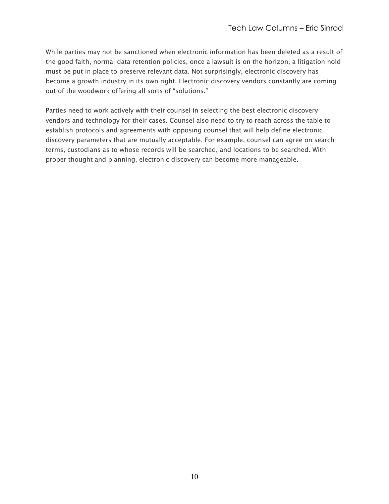While parties may not be sanctioned when electronic information has been deleted as a result of the good faith, normal data retention policies, once a lawsuit is on the horizon, a litigation hold must be put in place to preserve relevant data. Not surprisingly, electronic discovery has become a growth industry in its own right. Electronic discovery vendors constantly are coming out of the woodwork offering all sorts of "solutions."

Parties need to work actively with their counsel in selecting the best electronic discovery vendors and technology for their cases. Counsel also need to try to reach across the table to establish protocols and agreements with opposing counsel that will help define electronic discovery parameters that are mutually acceptable. For example, counsel can agree on search terms, custodians as to whose records will be searched, and locations to be searched. With proper thought and planning, electronic discovery can become more manageable.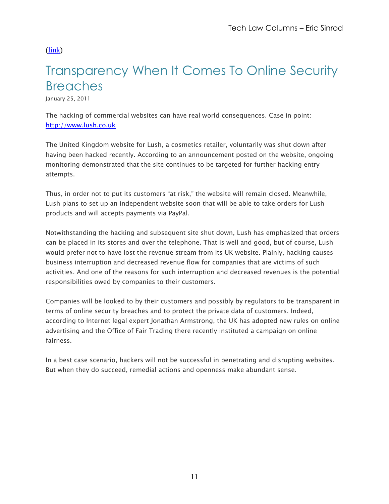# <span id="page-10-0"></span>Transparency When It Comes To Online Security **Breaches**

January 25, 2011

The hacking of commercial websites can have real world consequences. Case in point: [http://www.lush.co.uk](https://webmail.west.thomson.com/exchweb/bin/redir.asp?URL=http://www.lush.co.uk)

The United Kingdom website for Lush, a cosmetics retailer, voluntarily was shut down after having been hacked recently. According to an announcement posted on the website, ongoing monitoring demonstrated that the site continues to be targeted for further hacking entry attempts.

Thus, in order not to put its customers "at risk," the website will remain closed. Meanwhile, Lush plans to set up an independent website soon that will be able to take orders for Lush products and will accepts payments via PayPal.

Notwithstanding the hacking and subsequent site shut down, Lush has emphasized that orders can be placed in its stores and over the telephone. That is well and good, but of course, Lush would prefer not to have lost the revenue stream from its UK website. Plainly, hacking causes business interruption and decreased revenue flow for companies that are victims of such activities. And one of the reasons for such interruption and decreased revenues is the potential responsibilities owed by companies to their customers.

Companies will be looked to by their customers and possibly by regulators to be transparent in terms of online security breaches and to protect the private data of customers. Indeed, according to Internet legal expert Jonathan Armstrong, the UK has adopted new rules on online advertising and the Office of Fair Trading there recently instituted a campaign on online fairness.

In a best case scenario, hackers will not be successful in penetrating and disrupting websites. But when they do succeed, remedial actions and openness make abundant sense.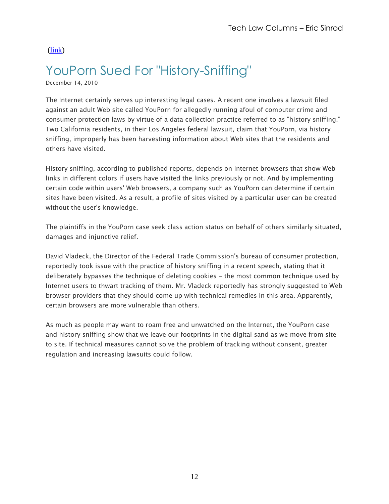### <span id="page-11-0"></span>YouPorn Sued For "History-Sniffing"

December 14, 2010

The Internet certainly serves up interesting legal cases. A recent one involves a lawsuit filed against an adult Web site called YouPorn for allegedly running afoul of computer crime and consumer protection laws by virtue of a data collection practice referred to as "history sniffing." Two California residents, in their Los Angeles federal lawsuit, claim that YouPorn, via history sniffing, improperly has been harvesting information about Web sites that the residents and others have visited.

History sniffing, according to published reports, depends on Internet browsers that show Web links in different colors if users have visited the links previously or not. And by implementing certain code within users' Web browsers, a company such as YouPorn can determine if certain sites have been visited. As a result, a profile of sites visited by a particular user can be created without the user's knowledge.

The plaintiffs in the YouPorn case seek class action status on behalf of others similarly situated, damages and injunctive relief.

David Vladeck, the Director of the Federal Trade Commission's bureau of consumer protection, reportedly took issue with the practice of history sniffing in a recent speech, stating that it deliberately bypasses the technique of deleting cookies - the most common technique used by Internet users to thwart tracking of them. Mr. Vladeck reportedly has strongly suggested to Web browser providers that they should come up with technical remedies in this area. Apparently, certain browsers are more vulnerable than others.

As much as people may want to roam free and unwatched on the Internet, the YouPorn case and history sniffing show that we leave our footprints in the digital sand as we move from site to site. If technical measures cannot solve the problem of tracking without consent, greater regulation and increasing lawsuits could follow.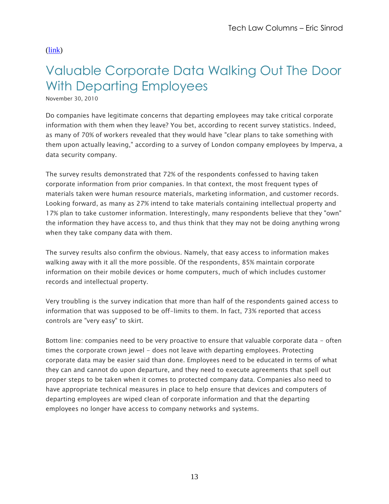# <span id="page-12-0"></span>Valuable Corporate Data Walking Out The Door With Departing Employees

November 30, 2010

Do companies have legitimate concerns that departing employees may take critical corporate information with them when they leave? You bet, according to recent survey statistics. Indeed, as many of 70% of workers revealed that they would have "clear plans to take something with them upon actually leaving," according to a survey of London company employees by Imperva, a data security company.

The survey results demonstrated that 72% of the respondents confessed to having taken corporate information from prior companies. In that context, the most frequent types of materials taken were human resource materials, marketing information, and customer records. Looking forward, as many as 27% intend to take materials containing intellectual property and 17% plan to take customer information. Interestingly, many respondents believe that they "own" the information they have access to, and thus think that they may not be doing anything wrong when they take company data with them.

The survey results also confirm the obvious. Namely, that easy access to information makes walking away with it all the more possible. Of the respondents, 85% maintain corporate information on their mobile devices or home computers, much of which includes customer records and intellectual property.

Very troubling is the survey indication that more than half of the respondents gained access to information that was supposed to be off-limits to them. In fact, 73% reported that access controls are "very easy" to skirt.

Bottom line: companies need to be very proactive to ensure that valuable corporate data - often times the corporate crown jewel - does not leave with departing employees. Protecting corporate data may be easier said than done. Employees need to be educated in terms of what they can and cannot do upon departure, and they need to execute agreements that spell out proper steps to be taken when it comes to protected company data. Companies also need to have appropriate technical measures in place to help ensure that devices and computers of departing employees are wiped clean of corporate information and that the departing employees no longer have access to company networks and systems.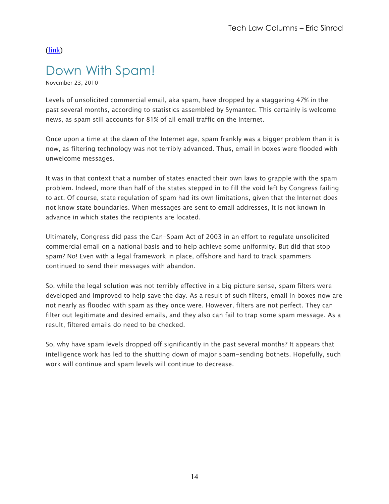### <span id="page-13-0"></span>Down With Spam!

November 23, 2010

Levels of unsolicited commercial email, aka spam, have dropped by a staggering 47% in the past several months, according to statistics assembled by Symantec. This certainly is welcome news, as spam still accounts for 81% of all email traffic on the Internet.

Once upon a time at the dawn of the Internet age, spam frankly was a bigger problem than it is now, as filtering technology was not terribly advanced. Thus, email in boxes were flooded with unwelcome messages.

It was in that context that a number of states enacted their own laws to grapple with the spam problem. Indeed, more than half of the states stepped in to fill the void left by Congress failing to act. Of course, state regulation of spam had its own limitations, given that the Internet does not know state boundaries. When messages are sent to email addresses, it is not known in advance in which states the recipients are located.

Ultimately, Congress did pass the Can-Spam Act of 2003 in an effort to regulate unsolicited commercial email on a national basis and to help achieve some uniformity. But did that stop spam? No! Even with a legal framework in place, offshore and hard to track spammers continued to send their messages with abandon.

So, while the legal solution was not terribly effective in a big picture sense, spam filters were developed and improved to help save the day. As a result of such filters, email in boxes now are not nearly as flooded with spam as they once were. However, filters are not perfect. They can filter out legitimate and desired emails, and they also can fail to trap some spam message. As a result, filtered emails do need to be checked.

So, why have spam levels dropped off significantly in the past several months? It appears that intelligence work has led to the shutting down of major spam-sending botnets. Hopefully, such work will continue and spam levels will continue to decrease.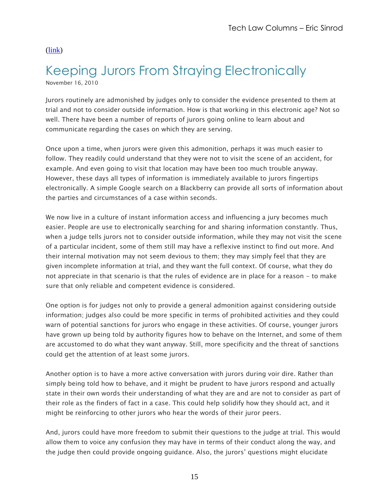# <span id="page-14-0"></span>Keeping Jurors From Straying Electronically

November 16, 2010

Jurors routinely are admonished by judges only to consider the evidence presented to them at trial and not to consider outside information. How is that working in this electronic age? Not so well. There have been a number of reports of jurors going online to learn about and communicate regarding the cases on which they are serving.

Once upon a time, when jurors were given this admonition, perhaps it was much easier to follow. They readily could understand that they were not to visit the scene of an accident, for example. And even going to visit that location may have been too much trouble anyway. However, these days all types of information is immediately available to jurors fingertips electronically. A simple Google search on a Blackberry can provide all sorts of information about the parties and circumstances of a case within seconds.

We now live in a culture of instant information access and influencing a jury becomes much easier. People are use to electronically searching for and sharing information constantly. Thus, when a judge tells jurors not to consider outside information, while they may not visit the scene of a particular incident, some of them still may have a reflexive instinct to find out more. And their internal motivation may not seem devious to them; they may simply feel that they are given incomplete information at trial, and they want the full context. Of course, what they do not appreciate in that scenario is that the rules of evidence are in place for a reason - to make sure that only reliable and competent evidence is considered.

One option is for judges not only to provide a general admonition against considering outside information; judges also could be more specific in terms of prohibited activities and they could warn of potential sanctions for jurors who engage in these activities. Of course, younger jurors have grown up being told by authority figures how to behave on the Internet, and some of them are accustomed to do what they want anyway. Still, more specificity and the threat of sanctions could get the attention of at least some jurors.

Another option is to have a more active conversation with jurors during voir dire. Rather than simply being told how to behave, and it might be prudent to have jurors respond and actually state in their own words their understanding of what they are and are not to consider as part of their role as the finders of fact in a case. This could help solidify how they should act, and it might be reinforcing to other jurors who hear the words of their juror peers.

And, jurors could have more freedom to submit their questions to the judge at trial. This would allow them to voice any confusion they may have in terms of their conduct along the way, and the judge then could provide ongoing guidance. Also, the jurors" questions might elucidate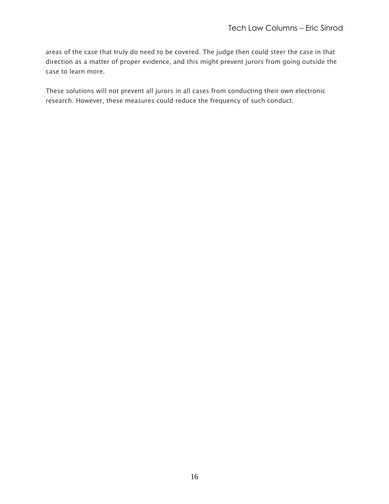areas of the case that truly do need to be covered. The judge then could steer the case in that direction as a matter of proper evidence, and this might prevent jurors from going outside the case to learn more.

These solutions will not prevent all jurors in all cases from conducting their own electronic research. However, these measures could reduce the frequency of such conduct.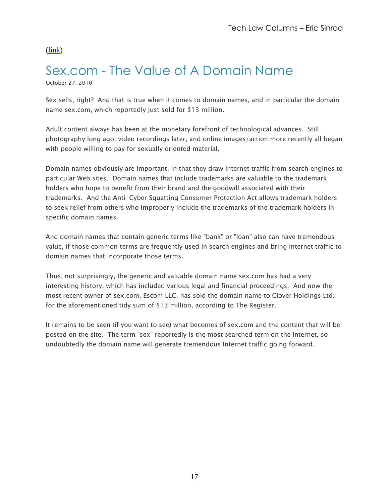# <span id="page-16-0"></span>Sex.com - The Value of A Domain Name

October 27, 2010

Sex sells, right? And that is true when it comes to domain names, and in particular the domain name sex.com, which reportedly just sold for \$13 million.

Adult content always has been at the monetary forefront of technological advances. Still photography long ago, video recordings later, and online images/action more recently all began with people willing to pay for sexually oriented material.

Domain names obviously are important, in that they draw Internet traffic from search engines to particular Web sites. Domain names that include trademarks are valuable to the trademark holders who hope to benefit from their brand and the goodwill associated with their trademarks. And the Anti-Cyber Squatting Consumer Protection Act allows trademark holders to seek relief from others who improperly include the trademarks of the trademark holders in specific domain names.

And domain names that contain generic terms like "bank" or "loan" also can have tremendous value, if those common terms are frequently used in search engines and bring Internet traffic to domain names that incorporate those terms.

Thus, not surprisingly, the generic and valuable domain name sex.com has had a very interesting history, which has included various legal and financial proceedings. And now the most recent owner of sex.com, Escom LLC, has sold the domain name to Clover Holdings Ltd. for the aforementioned tidy sum of \$13 million, according to The Register.

It remains to be seen (if you want to see) what becomes of sex.com and the content that will be posted on the site. The term "sex" reportedly is the most searched term on the Internet, so undoubtedly the domain name will generate tremendous Internet traffic going forward.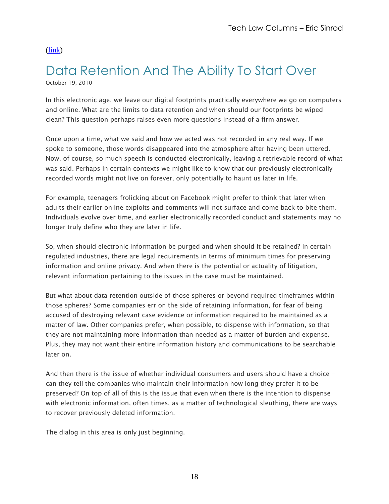# <span id="page-17-0"></span>Data Retention And The Ability To Start Over

October 19, 2010

In this electronic age, we leave our digital footprints practically everywhere we go on computers and online. What are the limits to data retention and when should our footprints be wiped clean? This question perhaps raises even more questions instead of a firm answer.

Once upon a time, what we said and how we acted was not recorded in any real way. If we spoke to someone, those words disappeared into the atmosphere after having been uttered. Now, of course, so much speech is conducted electronically, leaving a retrievable record of what was said. Perhaps in certain contexts we might like to know that our previously electronically recorded words might not live on forever, only potentially to haunt us later in life.

For example, teenagers frolicking about on Facebook might prefer to think that later when adults their earlier online exploits and comments will not surface and come back to bite them. Individuals evolve over time, and earlier electronically recorded conduct and statements may no longer truly define who they are later in life.

So, when should electronic information be purged and when should it be retained? In certain regulated industries, there are legal requirements in terms of minimum times for preserving information and online privacy. And when there is the potential or actuality of litigation, relevant information pertaining to the issues in the case must be maintained.

But what about data retention outside of those spheres or beyond required timeframes within those spheres? Some companies err on the side of retaining information, for fear of being accused of destroying relevant case evidence or information required to be maintained as a matter of law. Other companies prefer, when possible, to dispense with information, so that they are not maintaining more information than needed as a matter of burden and expense. Plus, they may not want their entire information history and communications to be searchable later on.

And then there is the issue of whether individual consumers and users should have a choice can they tell the companies who maintain their information how long they prefer it to be preserved? On top of all of this is the issue that even when there is the intention to dispense with electronic information, often times, as a matter of technological sleuthing, there are ways to recover previously deleted information.

The dialog in this area is only just beginning.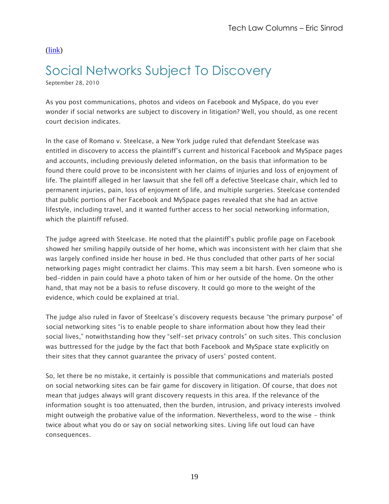# <span id="page-18-0"></span>Social Networks Subject To Discovery

September 28, 2010

As you post communications, photos and videos on Facebook and MySpace, do you ever wonder if social networks are subject to discovery in litigation? Well, you should, as one recent court decision indicates.

In the case of Romano v. Steelcase, a New York judge ruled that defendant Steelcase was entitled in discovery to access the plaintiff"s current and historical Facebook and MySpace pages and accounts, including previously deleted information, on the basis that information to be found there could prove to be inconsistent with her claims of injuries and loss of enjoyment of life. The plaintiff alleged in her lawsuit that she fell off a defective Steelcase chair, which led to permanent injuries, pain, loss of enjoyment of life, and multiple surgeries. Steelcase contended that public portions of her Facebook and MySpace pages revealed that she had an active lifestyle, including travel, and it wanted further access to her social networking information, which the plaintiff refused.

The judge agreed with Steelcase. He noted that the plaintiff"s public profile page on Facebook showed her smiling happily outside of her home, which was inconsistent with her claim that she was largely confined inside her house in bed. He thus concluded that other parts of her social networking pages might contradict her claims. This may seem a bit harsh. Even someone who is bed-ridden in pain could have a photo taken of him or her outside of the home. On the other hand, that may not be a basis to refuse discovery. It could go more to the weight of the evidence, which could be explained at trial.

The judge also ruled in favor of Steelcase"s discovery requests because "the primary purpose" of social networking sites "is to enable people to share information about how they lead their social lives," notwithstanding how they "self-set privacy controls" on such sites. This conclusion was buttressed for the judge by the fact that both Facebook and MySpace state explicitly on their sites that they cannot guarantee the privacy of users' posted content.

So, let there be no mistake, it certainly is possible that communications and materials posted on social networking sites can be fair game for discovery in litigation. Of course, that does not mean that judges always will grant discovery requests in this area. If the relevance of the information sought is too attenuated, then the burden, intrusion, and privacy interests involved might outweigh the probative value of the information. Nevertheless, word to the wise - think twice about what you do or say on social networking sites. Living life out loud can have consequences.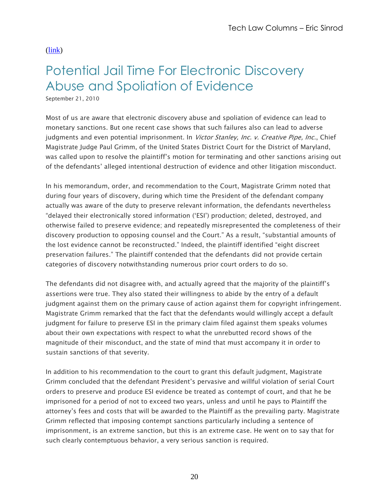# <span id="page-19-0"></span>Potential Jail Time For Electronic Discovery Abuse and Spoliation of Evidence

September 21, 2010

Most of us are aware that electronic discovery abuse and spoliation of evidence can lead to monetary sanctions. But one recent case shows that such failures also can lead to adverse judgments and even potential imprisonment. In *Victor Stanley, Inc. v. Creative Pipe, Inc.*, Chief Magistrate Judge Paul Grimm, of the United States District Court for the District of Maryland, was called upon to resolve the plaintiff"s motion for terminating and other sanctions arising out of the defendants" alleged intentional destruction of evidence and other litigation misconduct.

In his memorandum, order, and recommendation to the Court, Magistrate Grimm noted that during four years of discovery, during which time the President of the defendant company actually was aware of the duty to preserve relevant information, the defendants nevertheless "delayed their electronically stored information ("ESI") production; deleted, destroyed, and otherwise failed to preserve evidence; and repeatedly misrepresented the completeness of their discovery production to opposing counsel and the Court." As a result, "substantial amounts of the lost evidence cannot be reconstructed." Indeed, the plaintiff identified "eight discreet preservation failures." The plaintiff contended that the defendants did not provide certain categories of discovery notwithstanding numerous prior court orders to do so.

The defendants did not disagree with, and actually agreed that the majority of the plaintiff"s assertions were true. They also stated their willingness to abide by the entry of a default judgment against them on the primary cause of action against them for copyright infringement. Magistrate Grimm remarked that the fact that the defendants would willingly accept a default judgment for failure to preserve ESI in the primary claim filed against them speaks volumes about their own expectations with respect to what the unrebutted record shows of the magnitude of their misconduct, and the state of mind that must accompany it in order to sustain sanctions of that severity.

In addition to his recommendation to the court to grant this default judgment, Magistrate Grimm concluded that the defendant President"s pervasive and willful violation of serial Court orders to preserve and produce ESI evidence be treated as contempt of court, and that he be imprisoned for a period of not to exceed two years, unless and until he pays to Plaintiff the attorney"s fees and costs that will be awarded to the Plaintiff as the prevailing party. Magistrate Grimm reflected that imposing contempt sanctions particularly including a sentence of imprisonment, is an extreme sanction, but this is an extreme case. He went on to say that for such clearly contemptuous behavior, a very serious sanction is required.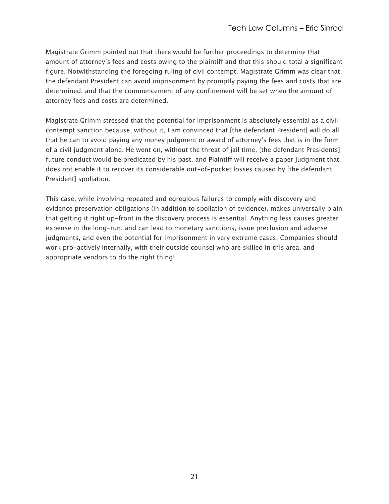Magistrate Grimm pointed out that there would be further proceedings to determine that amount of attorney"s fees and costs owing to the plaintiff and that this should total a significant figure. Notwithstanding the foregoing ruling of civil contempt, Magistrate Grimm was clear that the defendant President can avoid imprisonment by promptly paying the fees and costs that are determined, and that the commencement of any confinement will be set when the amount of attorney fees and costs are determined.

Magistrate Grimm stressed that the potential for imprisonment is absolutely essential as a civil contempt sanction because, without it, I am convinced that [the defendant President] will do all that he can to avoid paying any money judgment or award of attorney"s fees that is in the form of a civil judgment alone. He went on, without the threat of jail time, [the defendant Presidents] future conduct would be predicated by his past, and Plaintiff will receive a paper judgment that does not enable it to recover its considerable out-of-pocket losses caused by [the defendant President] spoliation.

This case, while involving repeated and egregious failures to comply with discovery and evidence preservation obligations (in addition to spoilation of evidence), makes universally plain that getting it right up-front in the discovery process is essential. Anything less causes greater expense in the long-run, and can lead to monetary sanctions, issue preclusion and adverse judgments, and even the potential for imprisonment in very extreme cases. Companies should work pro-actively internally, with their outside counsel who are skilled in this area, and appropriate vendors to do the right thing!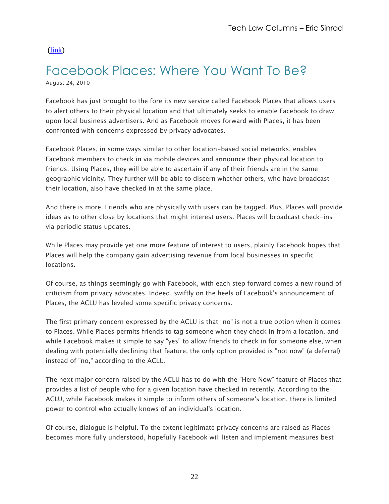#### <span id="page-21-0"></span>Facebook Places: Where You Want To Be? August 24, 2010

Facebook has just brought to the fore its new service called Facebook Places that allows users to alert others to their physical location and that ultimately seeks to enable Facebook to draw upon local business advertisers. And as Facebook moves forward with Places, it has been confronted with concerns expressed by privacy advocates.

Facebook Places, in some ways similar to other location-based social networks, enables Facebook members to check in via mobile devices and announce their physical location to friends. Using Places, they will be able to ascertain if any of their friends are in the same geographic vicinity. They further will be able to discern whether others, who have broadcast their location, also have checked in at the same place.

And there is more. Friends who are physically with users can be tagged. Plus, Places will provide ideas as to other close by locations that might interest users. Places will broadcast check-ins via periodic status updates.

While Places may provide yet one more feature of interest to users, plainly Facebook hopes that Places will help the company gain advertising revenue from local businesses in specific locations.

Of course, as things seemingly go with Facebook, with each step forward comes a new round of criticism from privacy advocates. Indeed, swiftly on the heels of Facebook's announcement of Places, the ACLU has leveled some specific privacy concerns.

The first primary concern expressed by the ACLU is that "no" is not a true option when it comes to Places. While Places permits friends to tag someone when they check in from a location, and while Facebook makes it simple to say "yes" to allow friends to check in for someone else, when dealing with potentially declining that feature, the only option provided is "not now" (a deferral) instead of "no," according to the ACLU.

The next major concern raised by the ACLU has to do with the "Here Now" feature of Places that provides a list of people who for a given location have checked in recently. According to the ACLU, while Facebook makes it simple to inform others of someone's location, there is limited power to control who actually knows of an individual's location.

Of course, dialogue is helpful. To the extent legitimate privacy concerns are raised as Places becomes more fully understood, hopefully Facebook will listen and implement measures best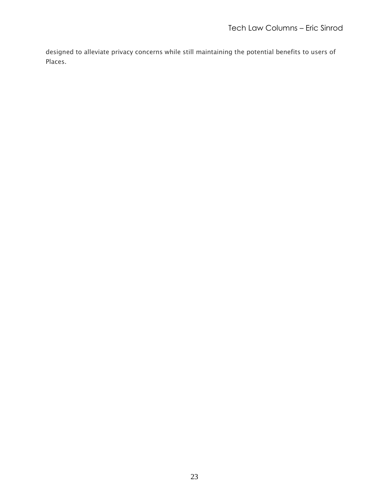designed to alleviate privacy concerns while still maintaining the potential benefits to users of Places.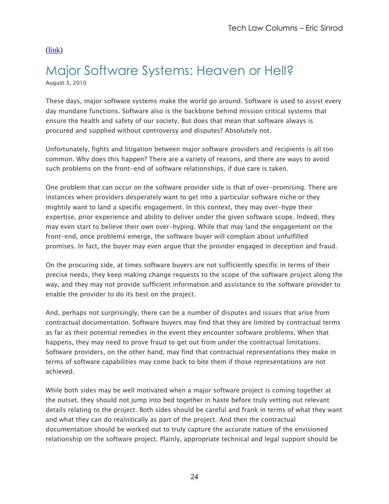#### <span id="page-23-0"></span>Major Software Systems: Heaven or Hell? August 3, 2010

These days, major software systems make the world go around. Software is used to assist every day mundane functions. Software also is the backbone behind mission critical systems that ensure the health and safety of our society. But does that mean that software always is procured and supplied without controversy and disputes? Absolutely not.

Unfortunately, fights and litigation between major software providers and recipients is all too common. Why does this happen? There are a variety of reasons, and there are ways to avoid such problems on the front-end of software relationships, if due care is taken.

One problem that can occur on the software provider side is that of over-promising. There are instances when providers desperately want to get into a particular software niche or they mightily want to land a specific engagement. In this context, they may over-hype their expertise, prior experience and ability to deliver under the given software scope. Indeed, they may even start to believe their own over-hyping. While that may land the engagement on the front-end, once problems emerge, the software buyer will complain about unfulfilled promises. In fact, the buyer may even argue that the provider engaged in deception and fraud.

On the procuring side, at times software buyers are not sufficiently specific in terms of their precise needs, they keep making change requests to the scope of the software project along the way, and they may not provide sufficient information and assistance to the software provider to enable the provider to do its best on the project.

And, perhaps not surprisingly, there can be a number of disputes and issues that arise from contractual documentation. Software buyers may find that they are limited by contractual terms as far as their potential remedies in the event they encounter software problems. When that happens, they may need to prove fraud to get out from under the contractual limitations. Software providers, on the other hand, may find that contractual representations they make in terms of software capabilities may come back to bite them if those representations are not achieved.

While both sides may be well motivated when a major software project is coming together at the outset, they should not jump into bed together in haste before truly vetting out relevant details relating to the project. Both sides should be careful and frank in terms of what they want and what they can do realistically as part of the project. And then the contractual documentation should be worked out to truly capture the accurate nature of the envisioned relationship on the software project. Plainly, appropriate technical and legal support should be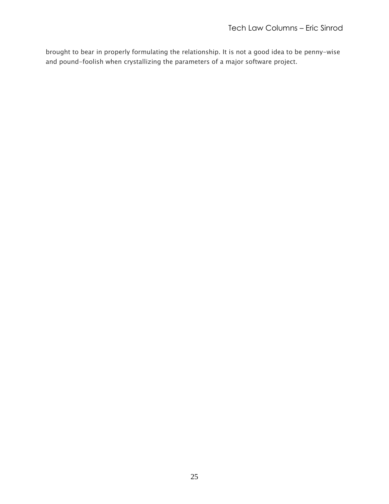brought to bear in properly formulating the relationship. It is not a good idea to be penny-wise and pound-foolish when crystallizing the parameters of a major software project.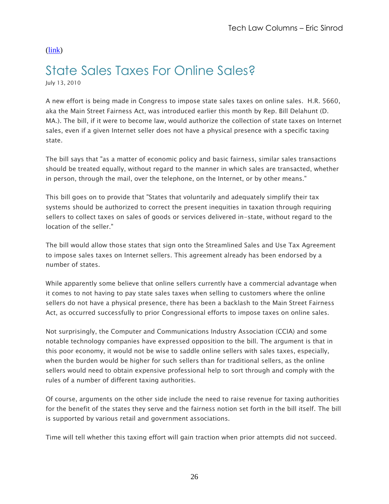# <span id="page-25-0"></span>State Sales Taxes For Online Sales?

July 13, 2010

A new effort is being made in Congress to impose state sales taxes on online sales. H.R. 5660, aka the Main Street Fairness Act, was introduced earlier this month by Rep. Bill Delahunt (D. MA.). The bill, if it were to become law, would authorize the collection of state taxes on Internet sales, even if a given Internet seller does not have a physical presence with a specific taxing state.

The bill says that "as a matter of economic policy and basic fairness, similar sales transactions should be treated equally, without regard to the manner in which sales are transacted, whether in person, through the mail, over the telephone, on the Internet, or by other means."

This bill goes on to provide that "States that voluntarily and adequately simplify their tax systems should be authorized to correct the present inequities in taxation through requiring sellers to collect taxes on sales of goods or services delivered in-state, without regard to the location of the seller."

The bill would allow those states that sign onto the Streamlined Sales and Use Tax Agreement to impose sales taxes on Internet sellers. This agreement already has been endorsed by a number of states.

While apparently some believe that online sellers currently have a commercial advantage when it comes to not having to pay state sales taxes when selling to customers where the online sellers do not have a physical presence, there has been a backlash to the Main Street Fairness Act, as occurred successfully to prior Congressional efforts to impose taxes on online sales.

Not surprisingly, the Computer and Communications Industry Association (CCIA) and some notable technology companies have expressed opposition to the bill. The argument is that in this poor economy, it would not be wise to saddle online sellers with sales taxes, especially, when the burden would be higher for such sellers than for traditional sellers, as the online sellers would need to obtain expensive professional help to sort through and comply with the rules of a number of different taxing authorities.

Of course, arguments on the other side include the need to raise revenue for taxing authorities for the benefit of the states they serve and the fairness notion set forth in the bill itself. The bill is supported by various retail and government associations.

Time will tell whether this taxing effort will gain traction when prior attempts did not succeed.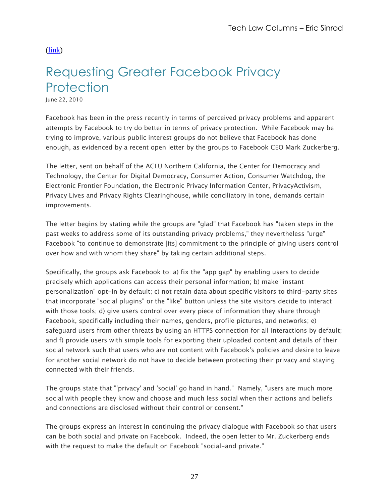# <span id="page-26-0"></span>Requesting Greater Facebook Privacy **Protection**

June 22, 2010

Facebook has been in the press recently in terms of perceived privacy problems and apparent attempts by Facebook to try do better in terms of privacy protection. While Facebook may be trying to improve, various public interest groups do not believe that Facebook has done enough, as evidenced by a recent open letter by the groups to Facebook CEO Mark Zuckerberg.

The letter, sent on behalf of the ACLU Northern California, the Center for Democracy and Technology, the Center for Digital Democracy, Consumer Action, Consumer Watchdog, the Electronic Frontier Foundation, the Electronic Privacy Information Center, PrivacyActivism, Privacy Lives and Privacy Rights Clearinghouse, while conciliatory in tone, demands certain improvements.

The letter begins by stating while the groups are "glad" that Facebook has "taken steps in the past weeks to address some of its outstanding privacy problems," they nevertheless "urge" Facebook "to continue to demonstrate [its] commitment to the principle of giving users control over how and with whom they share" by taking certain additional steps.

Specifically, the groups ask Facebook to: a) fix the "app gap" by enabling users to decide precisely which applications can access their personal information; b) make "instant personalization" opt-in by default; c) not retain data about specific visitors to third-party sites that incorporate "social plugins" or the "like" button unless the site visitors decide to interact with those tools; d) give users control over every piece of information they share through Facebook, specifically including their names, genders, profile pictures, and networks; e) safeguard users from other threats by using an HTTPS connection for all interactions by default; and f) provide users with simple tools for exporting their uploaded content and details of their social network such that users who are not content with Facebook's policies and desire to leave for another social network do not have to decide between protecting their privacy and staying connected with their friends.

The groups state that "'privacy' and 'social' go hand in hand." Namely, "users are much more social with people they know and choose and much less social when their actions and beliefs and connections are disclosed without their control or consent."

The groups express an interest in continuing the privacy dialogue with Facebook so that users can be both social and private on Facebook. Indeed, the open letter to Mr. Zuckerberg ends with the request to make the default on Facebook "social-and private."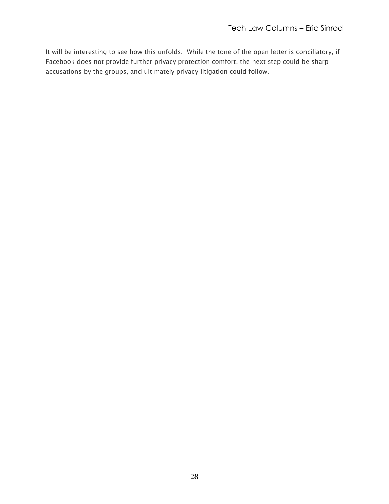It will be interesting to see how this unfolds. While the tone of the open letter is conciliatory, if Facebook does not provide further privacy protection comfort, the next step could be sharp accusations by the groups, and ultimately privacy litigation could follow.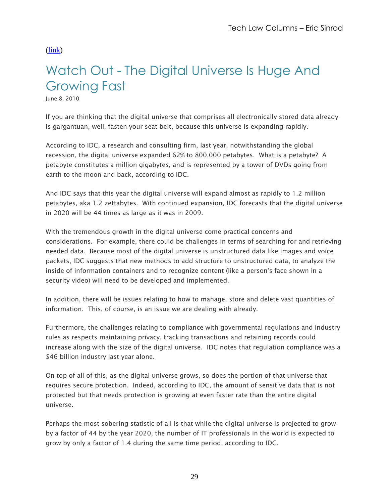# <span id="page-28-0"></span>Watch Out - The Digital Universe Is Huge And Growing Fast

June 8, 2010

If you are thinking that the digital universe that comprises all electronically stored data already is gargantuan, well, fasten your seat belt, because this universe is expanding rapidly.

According to IDC, a research and consulting firm, last year, notwithstanding the global recession, the digital universe expanded 62% to 800,000 petabytes. What is a petabyte? A petabyte constitutes a million gigabytes, and is represented by a tower of DVDs going from earth to the moon and back, according to IDC.

And IDC says that this year the digital universe will expand almost as rapidly to 1.2 million petabytes, aka 1.2 zettabytes. With continued expansion, IDC forecasts that the digital universe in 2020 will be 44 times as large as it was in 2009.

With the tremendous growth in the digital universe come practical concerns and considerations. For example, there could be challenges in terms of searching for and retrieving needed data. Because most of the digital universe is unstructured data like images and voice packets, IDC suggests that new methods to add structure to unstructured data, to analyze the inside of information containers and to recognize content (like a person's face shown in a security video) will need to be developed and implemented.

In addition, there will be issues relating to how to manage, store and delete vast quantities of information. This, of course, is an issue we are dealing with already.

Furthermore, the challenges relating to compliance with governmental regulations and industry rules as respects maintaining privacy, tracking transactions and retaining records could increase along with the size of the digital universe. IDC notes that regulation compliance was a \$46 billion industry last year alone.

On top of all of this, as the digital universe grows, so does the portion of that universe that requires secure protection. Indeed, according to IDC, the amount of sensitive data that is not protected but that needs protection is growing at even faster rate than the entire digital universe.

Perhaps the most sobering statistic of all is that while the digital universe is projected to grow by a factor of 44 by the year 2020, the number of IT professionals in the world is expected to grow by only a factor of 1.4 during the same time period, according to IDC.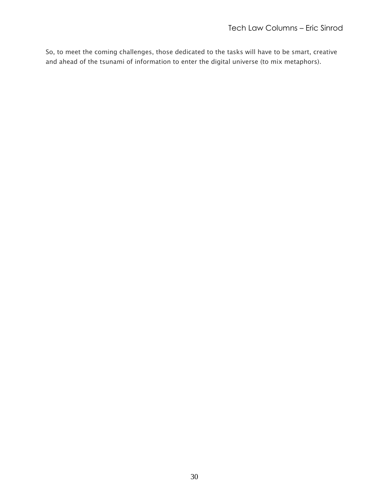So, to meet the coming challenges, those dedicated to the tasks will have to be smart, creative and ahead of the tsunami of information to enter the digital universe (to mix metaphors).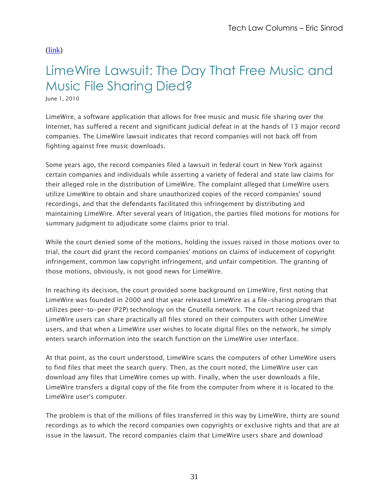## <span id="page-30-0"></span>LimeWire Lawsuit: The Day That Free Music and Music File Sharing Died?

June 1, 2010

LimeWire, a software application that allows for free music and music file sharing over the Internet, has suffered a recent and significant judicial defeat in at the hands of 13 major record companies. The LimeWire lawsuit indicates that record companies will not back off from fighting against free music downloads.

Some years ago, the record companies filed a lawsuit in federal court in New York against certain companies and individuals while asserting a variety of federal and state law claims for their alleged role in the distribution of LimeWire. The complaint alleged that LimeWire users utilize LimeWire to obtain and share unauthorized copies of the record companies' sound recordings, and that the defendants facilitated this infringement by distributing and maintaining LimeWire. After several years of litigation, the parties filed motions for motions for summary judgment to adjudicate some claims prior to trial.

While the court denied some of the motions, holding the issues raised in those motions over to trial, the court did grant the record companies' motions on claims of inducement of copyright infringement, common law copyright infringement, and unfair competition. The granting of those motions, obviously, is not good news for LimeWire.

In reaching its decision, the court provided some background on LimeWire, first noting that LimeWire was founded in 2000 and that year released LimeWire as a file-sharing program that utilizes peer-to-peer (P2P) technology on the Gnutella network. The court recognized that LimeWire users can share practically all files stored on their computers with other LimeWire users, and that when a LimeWire user wishes to locate digital files on the network, he simply enters search information into the search function on the LimeWire user interface.

At that point, as the court understood, LimeWire scans the computers of other LimeWire users to find files that meet the search query. Then, as the court noted, the LimeWire user can download any files that LimeWire comes up with. Finally, when the user downloads a file, LimeWire transfers a digital copy of the file from the computer from where it is located to the LimeWire user's computer.

The problem is that of the millions of files transferred in this way by LimeWire, thirty are sound recordings as to which the record companies own copyrights or exclusive rights and that are at issue in the lawsuit. The record companies claim that LimeWire users share and download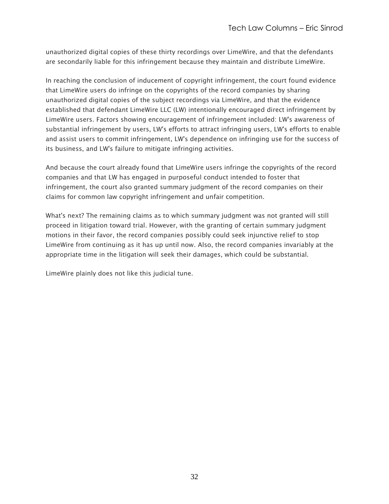unauthorized digital copies of these thirty recordings over LimeWire, and that the defendants are secondarily liable for this infringement because they maintain and distribute LimeWire.

In reaching the conclusion of inducement of copyright infringement, the court found evidence that LimeWire users do infringe on the copyrights of the record companies by sharing unauthorized digital copies of the subject recordings via LimeWire, and that the evidence established that defendant LimeWire LLC (LW) intentionally encouraged direct infringement by LimeWire users. Factors showing encouragement of infringement included: LW's awareness of substantial infringement by users, LW's efforts to attract infringing users, LW's efforts to enable and assist users to commit infringement, LW's dependence on infringing use for the success of its business, and LW's failure to mitigate infringing activities.

And because the court already found that LimeWire users infringe the copyrights of the record companies and that LW has engaged in purposeful conduct intended to foster that infringement, the court also granted summary judgment of the record companies on their claims for common law copyright infringement and unfair competition.

What's next? The remaining claims as to which summary judgment was not granted will still proceed in litigation toward trial. However, with the granting of certain summary judgment motions in their favor, the record companies possibly could seek injunctive relief to stop LimeWire from continuing as it has up until now. Also, the record companies invariably at the appropriate time in the litigation will seek their damages, which could be substantial.

LimeWire plainly does not like this judicial tune.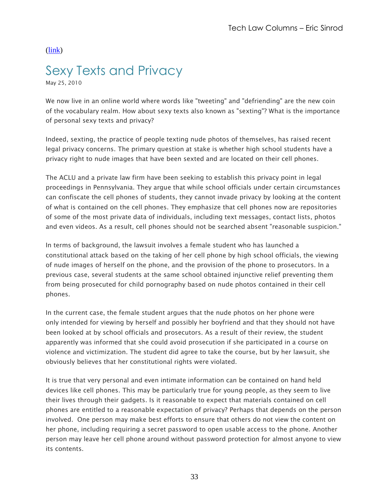# <span id="page-32-0"></span>Sexy Texts and Privacy

May 25, 2010

We now live in an online world where words like "tweeting" and "defriending" are the new coin of the vocabulary realm. How about sexy texts also known as "sexting"? What is the importance of personal sexy texts and privacy?

Indeed, sexting, the practice of people texting nude photos of themselves, has raised recent legal privacy concerns. The primary question at stake is whether high school students have a privacy right to nude images that have been sexted and are located on their cell phones.

The ACLU and a private law firm have been seeking to establish this privacy point in legal proceedings in Pennsylvania. They argue that while school officials under certain circumstances can confiscate the cell phones of students, they cannot invade privacy by looking at the content of what is contained on the cell phones. They emphasize that cell phones now are repositories of some of the most private data of individuals, including text messages, contact lists, photos and even videos. As a result, cell phones should not be searched absent "reasonable suspicion."

In terms of background, the lawsuit involves a female student who has launched a constitutional attack based on the taking of her cell phone by high school officials, the viewing of nude images of herself on the phone, and the provision of the phone to prosecutors. In a previous case, several students at the same school obtained injunctive relief preventing them from being prosecuted for child pornography based on nude photos contained in their cell phones.

In the current case, the female student argues that the nude photos on her phone were only intended for viewing by herself and possibly her boyfriend and that they should not have been looked at by school officials and prosecutors. As a result of their review, the student apparently was informed that she could avoid prosecution if she participated in a course on violence and victimization. The student did agree to take the course, but by her lawsuit, she obviously believes that her constitutional rights were violated.

It is true that very personal and even intimate information can be contained on hand held devices like cell phones. This may be particularly true for young people, as they seem to live their lives through their gadgets. Is it reasonable to expect that materials contained on cell phones are entitled to a reasonable expectation of privacy? Perhaps that depends on the person involved. One person may make best efforts to ensure that others do not view the content on her phone, including requiring a secret password to open usable access to the phone. Another person may leave her cell phone around without password protection for almost anyone to view its contents.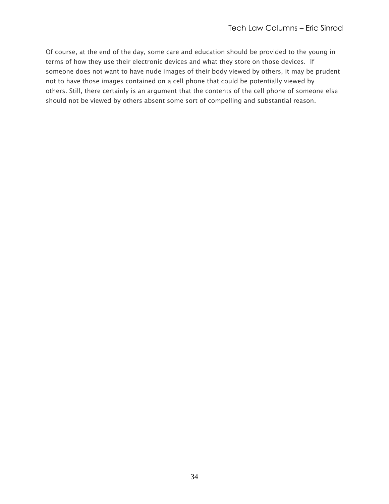Of course, at the end of the day, some care and education should be provided to the young in terms of how they use their electronic devices and what they store on those devices. If someone does not want to have nude images of their body viewed by others, it may be prudent not to have those images contained on a cell phone that could be potentially viewed by others. Still, there certainly is an argument that the contents of the cell phone of someone else should not be viewed by others absent some sort of compelling and substantial reason.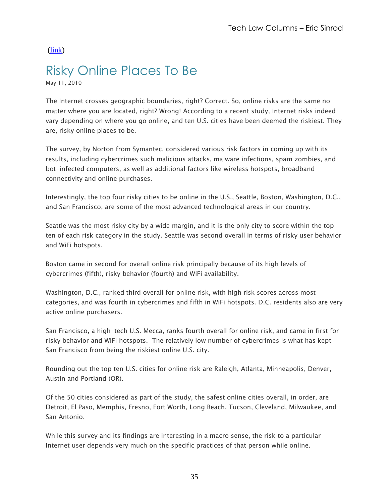# <span id="page-34-0"></span>Risky Online Places To Be

May 11, 2010

The Internet crosses geographic boundaries, right? Correct. So, online risks are the same no matter where you are located, right? Wrong! According to a recent study, Internet risks indeed vary depending on where you go online, and ten U.S. cities have been deemed the riskiest. They are, risky online places to be.

The survey, by Norton from Symantec, considered various risk factors in coming up with its results, including cybercrimes such malicious attacks, malware infections, spam zombies, and bot-infected computers, as well as additional factors like wireless hotspots, broadband connectivity and online purchases.

Interestingly, the top four risky cities to be online in the U.S., Seattle, Boston, Washington, D.C., and San Francisco, are some of the most advanced technological areas in our country.

Seattle was the most risky city by a wide margin, and it is the only city to score within the top ten of each risk category in the study. Seattle was second overall in terms of risky user behavior and WiFi hotspots.

Boston came in second for overall online risk principally because of its high levels of cybercrimes (fifth), risky behavior (fourth) and WiFi availability.

Washington, D.C., ranked third overall for online risk, with high risk scores across most categories, and was fourth in cybercrimes and fifth in WiFi hotspots. D.C. residents also are very active online purchasers.

San Francisco, a high-tech U.S. Mecca, ranks fourth overall for online risk, and came in first for risky behavior and WiFi hotspots. The relatively low number of cybercrimes is what has kept San Francisco from being the riskiest online U.S. city.

Rounding out the top ten U.S. cities for online risk are Raleigh, Atlanta, Minneapolis, Denver, Austin and Portland (OR).

Of the 50 cities considered as part of the study, the safest online cities overall, in order, are Detroit, El Paso, Memphis, Fresno, Fort Worth, Long Beach, Tucson, Cleveland, Milwaukee, and San Antonio.

While this survey and its findings are interesting in a macro sense, the risk to a particular Internet user depends very much on the specific practices of that person while online.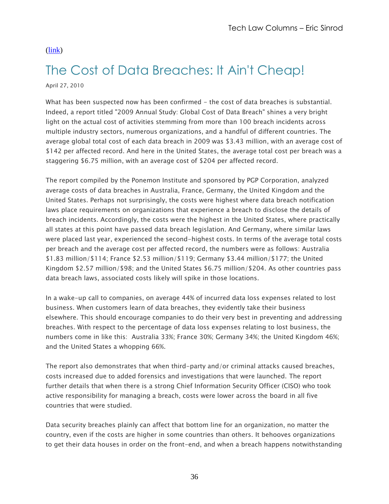## <span id="page-35-0"></span>The Cost of Data Breaches: It Ain't Cheap!

April 27, 2010

What has been suspected now has been confirmed - the cost of data breaches is substantial. Indeed, a report titled "2009 Annual Study: Global Cost of Data Breach" shines a very bright light on the actual cost of activities stemming from more than 100 breach incidents across multiple industry sectors, numerous organizations, and a handful of different countries. The average global total cost of each data breach in 2009 was \$3.43 million, with an average cost of \$142 per affected record. And here in the United States, the average total cost per breach was a staggering \$6.75 million, with an average cost of \$204 per affected record.

The report compiled by the Ponemon Institute and sponsored by PGP Corporation, analyzed average costs of data breaches in Australia, France, Germany, the United Kingdom and the United States. Perhaps not surprisingly, the costs were highest where data breach notification laws place requirements on organizations that experience a breach to disclose the details of breach incidents. Accordingly, the costs were the highest in the United States, where practically all states at this point have passed data breach legislation. And Germany, where similar laws were placed last year, experienced the second-highest costs. In terms of the average total costs per breach and the average cost per affected record, the numbers were as follows: Australia \$1.83 million/\$114; France \$2.53 million/\$119; Germany \$3.44 million/\$177; the United Kingdom \$2.57 million/\$98; and the United States \$6.75 million/\$204. As other countries pass data breach laws, associated costs likely will spike in those locations.

In a wake-up call to companies, on average 44% of incurred data loss expenses related to lost business. When customers learn of data breaches, they evidently take their business elsewhere. This should encourage companies to do their very best in preventing and addressing breaches. With respect to the percentage of data loss expenses relating to lost business, the numbers come in like this: Australia 33%; France 30%; Germany 34%; the United Kingdom 46%; and the United States a whopping 66%.

The report also demonstrates that when third-party and/or criminal attacks caused breaches, costs increased due to added forensics and investigations that were launched. The report further details that when there is a strong Chief Information Security Officer (CISO) who took active responsibility for managing a breach, costs were lower across the board in all five countries that were studied.

Data security breaches plainly can affect that bottom line for an organization, no matter the country, even if the costs are higher in some countries than others. It behooves organizations to get their data houses in order on the front-end, and when a breach happens notwithstanding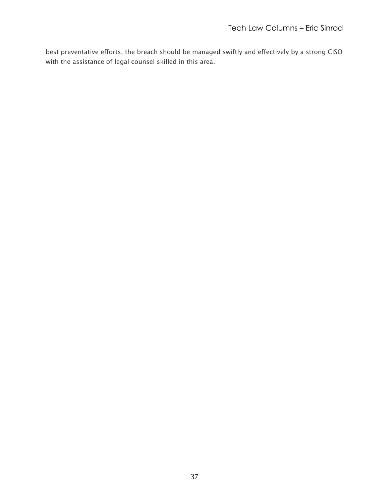best preventative efforts, the breach should be managed swiftly and effectively by a strong CISO with the assistance of legal counsel skilled in this area.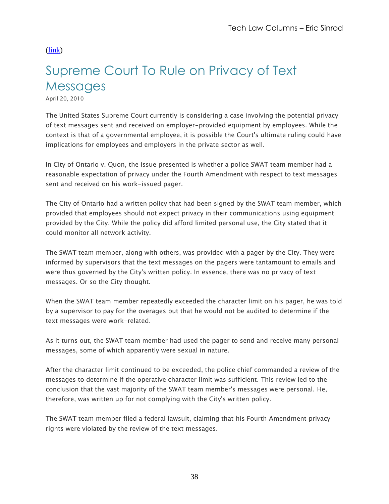# <span id="page-37-0"></span>Supreme Court To Rule on Privacy of Text **Messages**

April 20, 2010

The United States Supreme Court currently is considering a case involving the potential privacy of text messages sent and received on employer-provided equipment by employees. While the context is that of a governmental employee, it is possible the Court's ultimate ruling could have implications for employees and employers in the private sector as well.

In City of Ontario v. Quon, the issue presented is whether a police SWAT team member had a reasonable expectation of privacy under the Fourth Amendment with respect to text messages sent and received on his work-issued pager.

The City of Ontario had a written policy that had been signed by the SWAT team member, which provided that employees should not expect privacy in their communications using equipment provided by the City. While the policy did afford limited personal use, the City stated that it could monitor all network activity.

The SWAT team member, along with others, was provided with a pager by the City. They were informed by supervisors that the text messages on the pagers were tantamount to emails and were thus governed by the City's written policy. In essence, there was no privacy of text messages. Or so the City thought.

When the SWAT team member repeatedly exceeded the character limit on his pager, he was told by a supervisor to pay for the overages but that he would not be audited to determine if the text messages were work-related.

As it turns out, the SWAT team member had used the pager to send and receive many personal messages, some of which apparently were sexual in nature.

After the character limit continued to be exceeded, the police chief commanded a review of the messages to determine if the operative character limit was sufficient. This review led to the conclusion that the vast majority of the SWAT team member's messages were personal. He, therefore, was written up for not complying with the City's written policy.

The SWAT team member filed a federal lawsuit, claiming that his Fourth Amendment privacy rights were violated by the review of the text messages.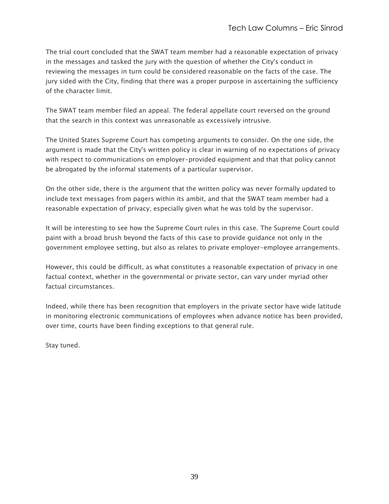The trial court concluded that the SWAT team member had a reasonable expectation of privacy in the messages and tasked the jury with the question of whether the City's conduct in reviewing the messages in turn could be considered reasonable on the facts of the case. The jury sided with the City, finding that there was a proper purpose in ascertaining the sufficiency of the character limit.

The SWAT team member filed an appeal. The federal appellate court reversed on the ground that the search in this context was unreasonable as excessively intrusive.

The United States Supreme Court has competing arguments to consider. On the one side, the argument is made that the City's written policy is clear in warning of no expectations of privacy with respect to communications on employer-provided equipment and that that policy cannot be abrogated by the informal statements of a particular supervisor.

On the other side, there is the argument that the written policy was never formally updated to include text messages from pagers within its ambit, and that the SWAT team member had a reasonable expectation of privacy; especially given what he was told by the supervisor.

It will be interesting to see how the Supreme Court rules in this case. The Supreme Court could paint with a broad brush beyond the facts of this case to provide guidance not only in the government employee setting, but also as relates to private employer-employee arrangements.

However, this could be difficult, as what constitutes a reasonable expectation of privacy in one factual context, whether in the governmental or private sector, can vary under myriad other factual circumstances.

Indeed, while there has been recognition that employers in the private sector have wide latitude in monitoring electronic communications of employees when advance notice has been provided, over time, courts have been finding exceptions to that general rule.

Stay tuned.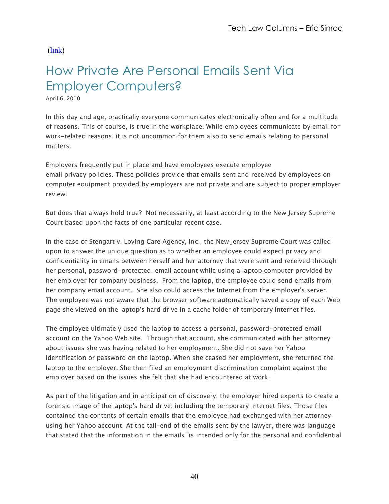# <span id="page-39-0"></span>How Private Are Personal Emails Sent Via Employer Computers?

April 6, 2010

In this day and age, practically everyone communicates electronically often and for a multitude of reasons. This of course, is true in the workplace. While employees communicate by email for work-related reasons, it is not uncommon for them also to send emails relating to personal matters.

Employers frequently put in place and have employees execute employee email privacy policies. These policies provide that emails sent and received by employees on computer equipment provided by employers are not private and are subject to proper employer review.

But does that always hold true? Not necessarily, at least according to the New Jersey Supreme Court based upon the facts of one particular recent case.

In the case of Stengart v. Loving Care Agency, Inc., the New Jersey Supreme Court was called upon to answer the unique question as to whether an employee could expect privacy and confidentiality in emails between herself and her attorney that were sent and received through her personal, password-protected, email account while using a laptop computer provided by her employer for company business. From the laptop, the employee could send emails from her company email account. She also could access the Internet from the employer's server. The employee was not aware that the browser software automatically saved a copy of each Web page she viewed on the laptop's hard drive in a cache folder of temporary Internet files.

The employee ultimately used the laptop to access a personal, password-protected email account on the Yahoo Web site. Through that account, she communicated with her attorney about issues she was having related to her employment. She did not save her Yahoo identification or password on the laptop. When she ceased her employment, she returned the laptop to the employer. She then filed an employment discrimination complaint against the employer based on the issues she felt that she had encountered at work.

As part of the litigation and in anticipation of discovery, the employer hired experts to create a forensic image of the laptop's hard drive; including the temporary Internet files. Those files contained the contents of certain emails that the employee had exchanged with her attorney using her Yahoo account. At the tail-end of the emails sent by the lawyer, there was language that stated that the information in the emails "is intended only for the personal and confidential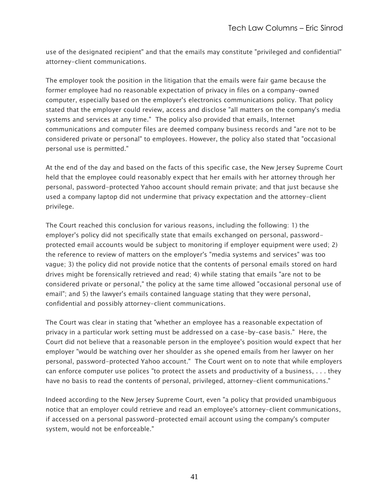use of the designated recipient" and that the emails may constitute "privileged and confidential" attorney-client communications.

The employer took the position in the litigation that the emails were fair game because the former employee had no reasonable expectation of privacy in files on a company-owned computer, especially based on the employer's electronics communications policy. That policy stated that the employer could review, access and disclose "all matters on the company's media systems and services at any time." The policy also provided that emails, Internet communications and computer files are deemed company business records and "are not to be considered private or personal" to employees. However, the policy also stated that "occasional personal use is permitted."

At the end of the day and based on the facts of this specific case, the New Jersey Supreme Court held that the employee could reasonably expect that her emails with her attorney through her personal, password-protected Yahoo account should remain private; and that just because she used a company laptop did not undermine that privacy expectation and the attorney-client privilege.

The Court reached this conclusion for various reasons, including the following: 1) the employer's policy did not specifically state that emails exchanged on personal, passwordprotected email accounts would be subject to monitoring if employer equipment were used; 2) the reference to review of matters on the employer's "media systems and services" was too vague; 3) the policy did not provide notice that the contents of personal emails stored on hard drives might be forensically retrieved and read; 4) while stating that emails "are not to be considered private or personal," the policy at the same time allowed "occasional personal use of email"; and 5) the lawyer's emails contained language stating that they were personal, confidential and possibly attorney-client communications.

The Court was clear in stating that "whether an employee has a reasonable expectation of privacy in a particular work setting must be addressed on a case-by-case basis." Here, the Court did not believe that a reasonable person in the employee's position would expect that her employer "would be watching over her shoulder as she opened emails from her lawyer on her personal, password-protected Yahoo account." The Court went on to note that while employers can enforce computer use polices "to protect the assets and productivity of a business, . . . they have no basis to read the contents of personal, privileged, attorney-client communications."

Indeed according to the New Jersey Supreme Court, even "a policy that provided unambiguous notice that an employer could retrieve and read an employee's attorney-client communications, if accessed on a personal password-protected email account using the company's computer system, would not be enforceable."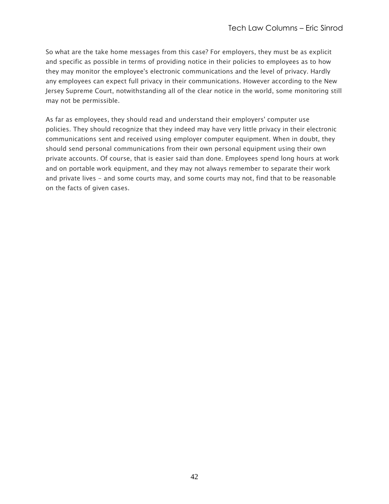So what are the take home messages from this case? For employers, they must be as explicit and specific as possible in terms of providing notice in their policies to employees as to how they may monitor the employee's electronic communications and the level of privacy. Hardly any employees can expect full privacy in their communications. However according to the New Jersey Supreme Court, notwithstanding all of the clear notice in the world, some monitoring still may not be permissible.

As far as employees, they should read and understand their employers' computer use policies. They should recognize that they indeed may have very little privacy in their electronic communications sent and received using employer computer equipment. When in doubt, they should send personal communications from their own personal equipment using their own private accounts. Of course, that is easier said than done. Employees spend long hours at work and on portable work equipment, and they may not always remember to separate their work and private lives - and some courts may, and some courts may not, find that to be reasonable on the facts of given cases.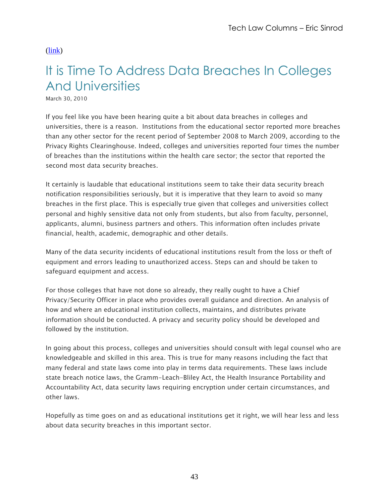# <span id="page-42-0"></span>It is Time To Address Data Breaches In Colleges And Universities

March 30, 2010

If you feel like you have been hearing quite a bit about data breaches in colleges and universities, there is a reason. Institutions from the educational sector reported more breaches than any other sector for the recent period of September 2008 to March 2009, according to the Privacy Rights Clearinghouse. Indeed, colleges and universities reported four times the number of breaches than the institutions within the health care sector; the sector that reported the second most data security breaches.

It certainly is laudable that educational institutions seem to take their data security breach notification responsibilities seriously, but it is imperative that they learn to avoid so many breaches in the first place. This is especially true given that colleges and universities collect personal and highly sensitive data not only from students, but also from faculty, personnel, applicants, alumni, business partners and others. This information often includes private financial, health, academic, demographic and other details.

Many of the data security incidents of educational institutions result from the loss or theft of equipment and errors leading to unauthorized access. Steps can and should be taken to safeguard equipment and access.

For those colleges that have not done so already, they really ought to have a Chief Privacy/Security Officer in place who provides overall guidance and direction. An analysis of how and where an educational institution collects, maintains, and distributes private information should be conducted. A privacy and security policy should be developed and followed by the institution.

In going about this process, colleges and universities should consult with legal counsel who are knowledgeable and skilled in this area. This is true for many reasons including the fact that many federal and state laws come into play in terms data requirements. These laws include state breach notice laws, the Gramm-Leach-Bliley Act, the Health Insurance Portability and Accountability Act, data security laws requiring encryption under certain circumstances, and other laws.

Hopefully as time goes on and as educational institutions get it right, we will hear less and less about data security breaches in this important sector.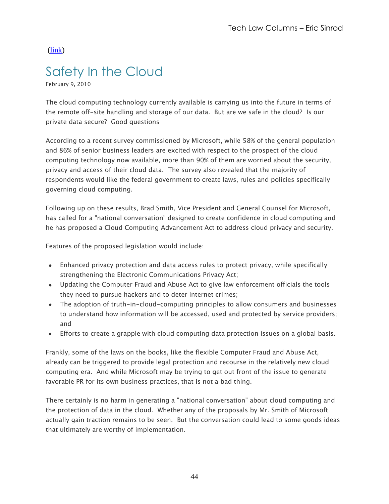### <span id="page-43-0"></span>Safety In the Cloud

February 9, 2010

The cloud computing technology currently available is carrying us into the future in terms of the remote off-site handling and storage of our data. But are we safe in the cloud? Is our private data secure? Good questions

According to a recent survey commissioned by Microsoft, while 58% of the general population and 86% of senior business leaders are excited with respect to the prospect of the cloud computing technology now available, more than 90% of them are worried about the security, privacy and access of their cloud data. The survey also revealed that the majority of respondents would like the federal government to create laws, rules and policies specifically governing cloud computing.

Following up on these results, Brad Smith, Vice President and General Counsel for Microsoft, has called for a "national conversation" designed to create confidence in cloud computing and he has proposed a Cloud Computing Advancement Act to address cloud privacy and security.

Features of the proposed legislation would include:

- Enhanced privacy protection and data access rules to protect privacy, while specifically strengthening the Electronic Communications Privacy Act;
- Updating the Computer Fraud and Abuse Act to give law enforcement officials the tools they need to pursue hackers and to deter Internet crimes;
- The adoption of truth-in-cloud-computing principles to allow consumers and businesses to understand how information will be accessed, used and protected by service providers; and
- Efforts to create a grapple with cloud computing data protection issues on a global basis.

Frankly, some of the laws on the books, like the flexible Computer Fraud and Abuse Act, already can be triggered to provide legal protection and recourse in the relatively new cloud computing era. And while Microsoft may be trying to get out front of the issue to generate favorable PR for its own business practices, that is not a bad thing.

There certainly is no harm in generating a "national conversation" about cloud computing and the protection of data in the cloud. Whether any of the proposals by Mr. Smith of Microsoft actually gain traction remains to be seen. But the conversation could lead to some goods ideas that ultimately are worthy of implementation.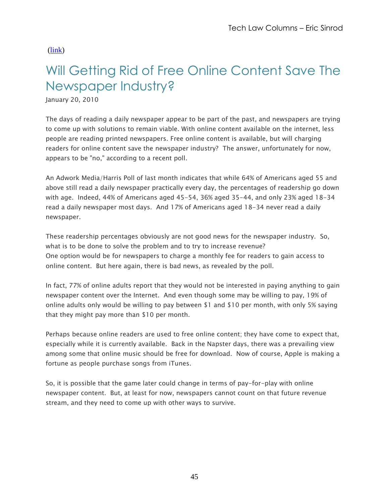# <span id="page-44-0"></span>Will Getting Rid of Free Online Content Save The Newspaper Industry?

January 20, 2010

The days of reading a daily newspaper appear to be part of the past, and newspapers are trying to come up with solutions to remain viable. With online content available on the internet, less people are reading printed newspapers. Free online content is available, but will charging readers for online content save the newspaper industry? The answer, unfortunately for now, appears to be "no," according to a recent poll.

An Adwork Media/Harris Poll of last month indicates that while 64% of Americans aged 55 and above still read a daily newspaper practically every day, the percentages of readership go down with age. Indeed, 44% of Americans aged 45-54, 36% aged 35-44, and only 23% aged 18-34 read a daily newspaper most days. And 17% of Americans aged 18-34 never read a daily newspaper.

These readership percentages obviously are not good news for the newspaper industry. So, what is to be done to solve the problem and to try to increase revenue? One option would be for newspapers to charge a monthly fee for readers to gain access to online content. But here again, there is bad news, as revealed by the poll.

In fact, 77% of online adults report that they would not be interested in paying anything to gain newspaper content over the Internet. And even though some may be willing to pay, 19% of online adults only would be willing to pay between \$1 and \$10 per month, with only 5% saying that they might pay more than \$10 per month.

Perhaps because online readers are used to free online content; they have come to expect that, especially while it is currently available. Back in the Napster days, there was a prevailing view among some that online music should be free for download. Now of course, Apple is making a fortune as people purchase songs from iTunes.

So, it is possible that the game later could change in terms of pay-for-play with online newspaper content. But, at least for now, newspapers cannot count on that future revenue stream, and they need to come up with other ways to survive.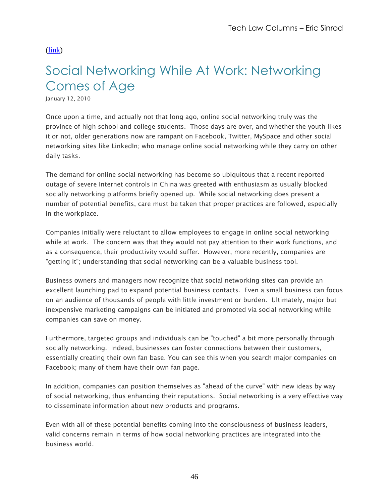# <span id="page-45-0"></span>Social Networking While At Work: Networking Comes of Age

January 12, 2010

Once upon a time, and actually not that long ago, online social networking truly was the province of high school and college students. Those days are over, and whether the youth likes it or not, older generations now are rampant on Facebook, Twitter, MySpace and other social networking sites like LinkedIn; who manage online social networking while they carry on other daily tasks.

The demand for online social networking has become so ubiquitous that a recent reported outage of severe Internet controls in China was greeted with enthusiasm as usually blocked socially networking platforms briefly opened up. While social networking does present a number of potential benefits, care must be taken that proper practices are followed, especially in the workplace.

Companies initially were reluctant to allow employees to engage in online social networking while at work. The concern was that they would not pay attention to their work functions, and as a consequence, their productivity would suffer. However, more recently, companies are "getting it"; understanding that social networking can be a valuable business tool.

Business owners and managers now recognize that social networking sites can provide an excellent launching pad to expand potential business contacts. Even a small business can focus on an audience of thousands of people with little investment or burden. Ultimately, major but inexpensive marketing campaigns can be initiated and promoted via social networking while companies can save on money.

Furthermore, targeted groups and individuals can be "touched" a bit more personally through socially networking. Indeed, businesses can foster connections between their customers, essentially creating their own fan base. You can see this when you search major companies on Facebook; many of them have their own fan page.

In addition, companies can position themselves as "ahead of the curve" with new ideas by way of social networking, thus enhancing their reputations. Social networking is a very effective way to disseminate information about new products and programs.

Even with all of these potential benefits coming into the consciousness of business leaders, valid concerns remain in terms of how social networking practices are integrated into the business world.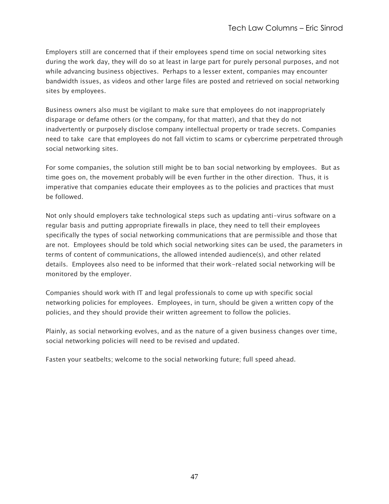Employers still are concerned that if their employees spend time on social networking sites during the work day, they will do so at least in large part for purely personal purposes, and not while advancing business objectives. Perhaps to a lesser extent, companies may encounter bandwidth issues, as videos and other large files are posted and retrieved on social networking sites by employees.

Business owners also must be vigilant to make sure that employees do not inappropriately disparage or defame others (or the company, for that matter), and that they do not inadvertently or purposely disclose company intellectual property or trade secrets. Companies need to take care that employees do not fall victim to scams or cybercrime perpetrated through social networking sites.

For some companies, the solution still might be to ban social networking by employees. But as time goes on, the movement probably will be even further in the other direction. Thus, it is imperative that companies educate their employees as to the policies and practices that must be followed.

Not only should employers take technological steps such as updating anti-virus software on a regular basis and putting appropriate firewalls in place, they need to tell their employees specifically the types of social networking communications that are permissible and those that are not. Employees should be told which social networking sites can be used, the parameters in terms of content of communications, the allowed intended audience(s), and other related details. Employees also need to be informed that their work-related social networking will be monitored by the employer.

Companies should work with IT and legal professionals to come up with specific social networking policies for employees. Employees, in turn, should be given a written copy of the policies, and they should provide their written agreement to follow the policies.

Plainly, as social networking evolves, and as the nature of a given business changes over time, social networking policies will need to be revised and updated.

Fasten your seatbelts; welcome to the social networking future; full speed ahead.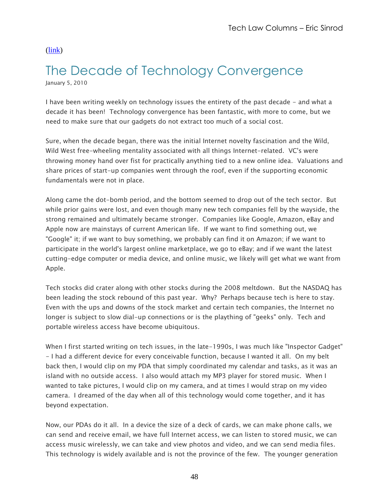#### <span id="page-47-0"></span>The Decade of Technology Convergence January 5, 2010

I have been writing weekly on technology issues the entirety of the past decade - and what a decade it has been! Technology convergence has been fantastic, with more to come, but we need to make sure that our gadgets do not extract too much of a social cost.

Sure, when the decade began, there was the initial Internet novelty fascination and the Wild, Wild West free-wheeling mentality associated with all things Internet-related. VC's were throwing money hand over fist for practically anything tied to a new online idea. Valuations and share prices of start-up companies went through the roof, even if the supporting economic fundamentals were not in place.

Along came the dot-bomb period, and the bottom seemed to drop out of the tech sector. But while prior gains were lost, and even though many new tech companies fell by the wayside, the strong remained and ultimately became stronger. Companies like Google, Amazon, eBay and Apple now are mainstays of current American life. If we want to find something out, we "Google" it; if we want to buy something, we probably can find it on Amazon; if we want to participate in the world's largest online marketplace, we go to eBay; and if we want the latest cutting-edge computer or media device, and online music, we likely will get what we want from Apple.

Tech stocks did crater along with other stocks during the 2008 meltdown. But the NASDAQ has been leading the stock rebound of this past year. Why? Perhaps because tech is here to stay. Even with the ups and downs of the stock market and certain tech companies, the Internet no longer is subject to slow dial-up connections or is the plaything of "geeks" only. Tech and portable wireless access have become ubiquitous.

When I first started writing on tech issues, in the late-1990s, I was much like "Inspector Gadget" - I had a different device for every conceivable function, because I wanted it all. On my belt back then, I would clip on my PDA that simply coordinated my calendar and tasks, as it was an island with no outside access. I also would attach my MP3 player for stored music. When I wanted to take pictures, I would clip on my camera, and at times I would strap on my video camera. I dreamed of the day when all of this technology would come together, and it has beyond expectation.

Now, our PDAs do it all. In a device the size of a deck of cards, we can make phone calls, we can send and receive email, we have full Internet access, we can listen to stored music, we can access music wirelessly, we can take and view photos and video, and we can send media files. This technology is widely available and is not the province of the few. The younger generation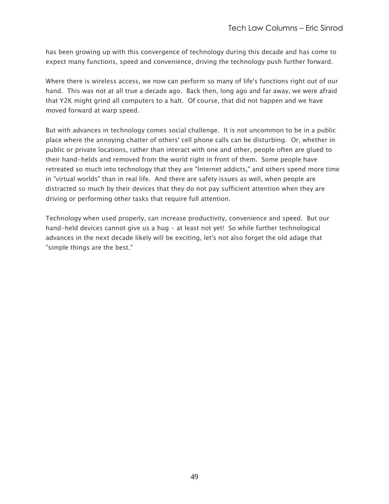has been growing up with this convergence of technology during this decade and has come to expect many functions, speed and convenience, driving the technology push further forward.

Where there is wireless access, we now can perform so many of life's functions right out of our hand. This was not at all true a decade ago. Back then, long ago and far away, we were afraid that Y2K might grind all computers to a halt. Of course, that did not happen and we have moved forward at warp speed.

But with advances in technology comes social challenge. It is not uncommon to be in a public place where the annoying chatter of others' cell phone calls can be disturbing. Or, whether in public or private locations, rather than interact with one and other, people often are glued to their hand-helds and removed from the world right in front of them. Some people have retreated so much into technology that they are "Internet addicts," and others spend more time in "virtual worlds" than in real life. And there are safety issues as well, when people are distracted so much by their devices that they do not pay sufficient attention when they are driving or performing other tasks that require full attention.

Technology when used properly, can increase productivity, convenience and speed. But our hand-held devices cannot give us a hug - at least not yet! So while further technological advances in the next decade likely will be exciting, let's not also forget the old adage that "simple things are the best."